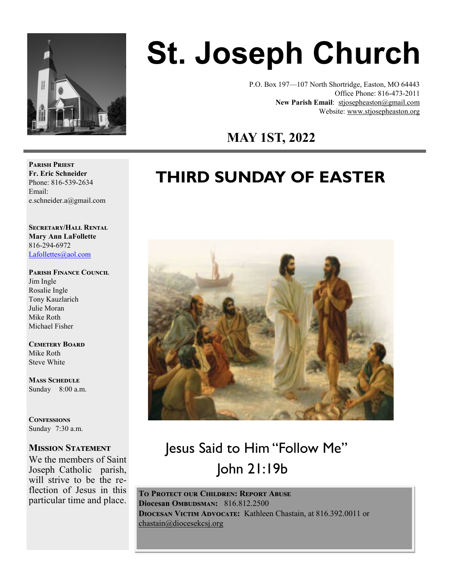

# **St. Joseph Church**

P.O. Box 197—107 North Shortridge, Easton, MO 64443 Office Phone: 816-473-2011 **New Parish Email**: stjosepheaston@gmail.com Website: www.stjosepheaston.org

 **MAY 1ST, 2022**

# **THIRD SUNDAY OF EASTER**



## Jesus Said to Him "Follow Me" John 21:19b

**To Protect our Children: Report Abuse Diocesan OMBUDSMAN:** 816.812.2500 **Diocesan Victim Advocate:** Kathleen Chastain, at 816.392.0011 or [chastain@diocesekcsj.org](mailto:chastain@diocesekcsj.org) 

**Parish Priest Fr. Eric Schneider** Phone: 816-539-2634 Email: e.schneider.a@gmail.com

**Secretary/Hall Rental Mary Ann LaFollette** 816-294-6972 [Lafollettes@aol.com](mailto:Lafollettes@aol.com?subject=St.%20Joseph%20Parish%20Hall%20rental%20)

**Parish Finance Council** 

Jim Ingle Rosalie Ingle Tony Kauzlarich Julie Moran Mike Roth Michael Fisher

**Cemetery Board** Mike Roth Steve White

**Mass Schedule**  Sunday 8:00 a.m.

**Confessions** Sunday 7:30 a.m.

#### **Mission Statement**

We the members of Saint Joseph Catholic parish, will strive to be the reflection of Jesus in this particular time and place.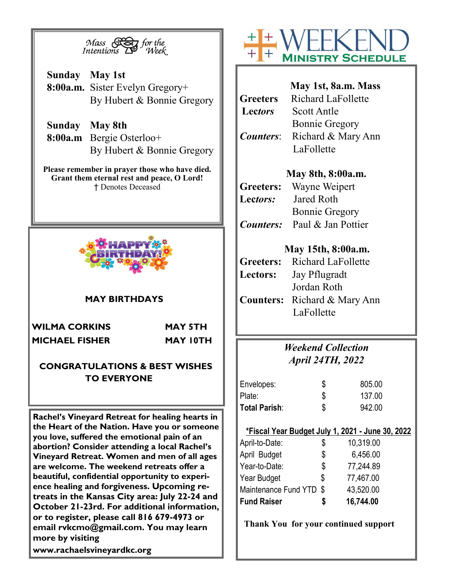

**Sunday May 1st 8:00a.m.** Sister Evelyn Gregory+ By Hubert & Bonnie Gregory

**Sunday May 8th 8:00a.m** Bergie Osterloo+ By Hubert & Bonnie Gregory

**Please remember in prayer those who have died. Grant them eternal rest and peace, O Lord!** † Denotes Deceased



#### **MAY BIRTHDAYS**

**WILMA CORKINS MAY 5TH MICHAEL FISHER MAY 10TH**

#### **CONGRATULATIONS & BEST WISHES TO EVERYONE**

**Rachel's Vineyard Retreat for healing hearts in the Heart of the Nation. Have you or someone you love, suffered the emotional pain of an abortion? Consider attending a local Rachel's Vineyard Retreat. Women and men of all ages are welcome. The weekend retreats offer a beautiful, confidential opportunity to experience healing and forgiveness. Upcoming retreats in the Kansas City area: July 22-24 and October 21-23rd. For additional information, or to register, please call 816 679-4973 or email rvkcmo@gmail.com. You may learn more by visiting www.rachaelsvineyardkc.org**



|                    | May 1st, 8a.m. Mass     |
|--------------------|-------------------------|
| Greeters           | Richard LaFollette      |
| Lectors            | Scott Antle             |
|                    | <b>Bonnie Gregory</b>   |
| <i>Counters:</i>   | Richard & Mary Ann      |
|                    | LaFollette              |
|                    | May 8th, 8:00a.m.       |
|                    | Greeters: Wayne Weipert |
| $L$ ectors $\cdot$ | Jared Roth              |

**Lec***tors:* Jared Roth Bonnie Gregory *Counters:* Paul & Jan Pottier

#### **May 15th, 8:00a.m.**

|          | <b>Greeters:</b> Richard LaFollette |
|----------|-------------------------------------|
| Lectors: | Jay Pflugradt                       |
|          | Jordan Roth                         |
|          | <b>Counters:</b> Richard & Mary Ann |
|          | LaFollette                          |

### *Weekend Collection April 24TH, 2022*

| Envelopes:    | \$ | 805.00 |
|---------------|----|--------|
| Plate:        |    | 137.00 |
| Total Parish: | S  | 942.00 |

#### **\*Fiscal Year Budget July 1, 2021 - June 30, 2022**

| <b>Fund Raiser</b>      | S  | 16,744.00 |
|-------------------------|----|-----------|
| Maintenance Fund YTD \$ |    | 43,520.00 |
| Year Budget             | \$ | 77,467.00 |
| Year-to-Date:           | \$ | 77,244.89 |
| April Budget            | \$ | 6,456.00  |
| April-to-Date:          | \$ | 10,319.00 |

**Thank You for your continued support**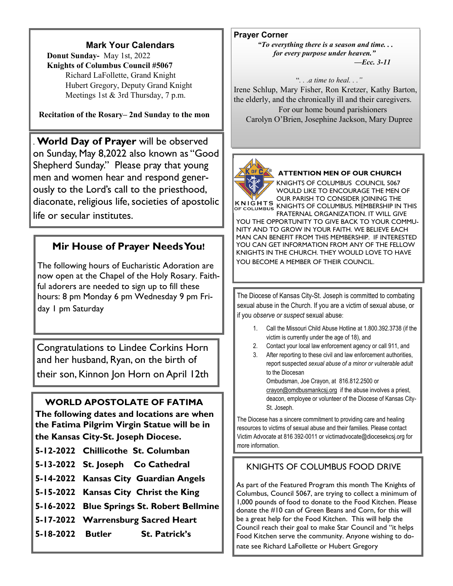#### **Mark Your Calendars**

 **Donut Sunday-** May 1st, 2022 **Knights of Columbus Council #5067**  Richard LaFollette, Grand Knight Hubert Gregory, Deputy Grand Knight Meetings 1st & 3rd Thursday, 7 p.m.

**Recitation of the Rosary– 2nd Sunday to the mon**

. **World Day of Prayer** will be observed on Sunday, May 8,2022 also known as "Good Shepherd Sunday." Please pray that young men and women hear and respond generously to the Lord's call to the priesthood, diaconate, religious life, societies of apostolic life or secular institutes.

#### **Mir House of Prayer Needs You!**

The following hours of Eucharistic Adoration are now open at the Chapel of the Holy Rosary. Faithful adorers are needed to sign up to fill these hours: 8 pm Monday 6 pm Wednesday 9 pm Friday 1 pm Saturday

Congratulations to Lindee Corkins Horn and her husband, Ryan, on the birth of their son, Kinnon Jon Horn on April 12th

#### **WORLD APOSTOLATE OF FATIMA**

**The following dates and locations are when the Fatima Pilgrim Virgin Statue will be in the Kansas City-St. Joseph Diocese.**

- **5-12-2022 Chillicothe St. Columban**
- **5-13-2022 St. Joseph Co Cathedral**
- **5-14-2022 Kansas City Guardian Angels**
- **5-15-2022 Kansas City Christ the King**
- **5-16-2022 Blue Springs St. Robert Bellmine**
- **5-17-2022 Warrensburg Sacred Heart**
- **5-18-2022 Butler St. Patrick's**

**Prayer Corner**

*"To everything there is a season and time. . . for every purpose under heaven." —Ecc. 3-11* 

#### "*. . .a time to heal. . ."*

Irene Schlup, Mary Fisher, Ron Kretzer, Kathy Barton, the elderly, and the chronically ill and their caregivers. For our home bound parishioners Carolyn O'Brien, Josephine Jackson, Mary Dupree



#### **ATTENTION MEN OF OUR CHURCH**

KNIGHTS OF COLUMBUS COUNCIL 5067 WOULD LIKE TO ENCOURAGE THE MEN OF OUR PARISH TO CONSIDER JOINING THE KNIGHTS OF COLUMBUS KNIGHTS OF COLUMBUS. MEMBERSHIP IN THIS

FRATERNAL ORGANIZATION. IT WILL GIVE YOU THE OPPORTUNITY TO GIVE BACK TO YOUR COMMU-NITY AND TO GROW IN YOUR FAITH. WE BELIEVE EACH MAN CAN BENEFIT FROM THIS MEMBERSHIP. IF INTERESTED YOU CAN GET INFORMATION FROM ANY OF THE FELLOW KNIGHTS IN THE CHURCH. THEY WOULD LOVE TO HAVE YOU BECOME A MEMBER OF THEIR COUNCIL.

The Diocese of Kansas City-St. Joseph is committed to combating sexual abuse in the Church. If you are a victim of sexual abuse, or if you *observe or suspect* sexual abuse:

- 1. Call the Missouri Child Abuse Hotline at 1.800.392.3738 (if the victim is currently under the age of 18), and
- 2. Contact your local law enforcement agency or call 911, and
- 3. After reporting to these civil and law enforcement authorities, report suspected *sexual abuse of a minor or vulnerable adult*  to the Diocesan Ombudsman, Joe Crayon, at 816.812.2500 or crayon@omdbusmankcsj.org if the abuse involves a priest,

deacon, employee or volunteer of the Diocese of Kansas City-St. Joseph.

The Diocese has a sincere commitment to providing care and healing resources to victims of sexual abuse and their families. Please contact Victim Advocate at 816 392-0011 or victimadvocate@diocesekcsj.org for more information.

#### KNIGHTS OF COLUMBUS FOOD DRIVE

As part of the Featured Program this month The Knights of Columbus, Council 5067, are trying to collect a minimum of 1,000 pounds of food to donate to the Food Kitchen. Please donate the #10 can of Green Beans and Corn, for this will be a great help for the Food Kitchen. This will help the Council reach their goal to make Star Council and "it helps Food Kitchen serve the community. Anyone wishing to donate see Richard LaFollette or Hubert Gregory